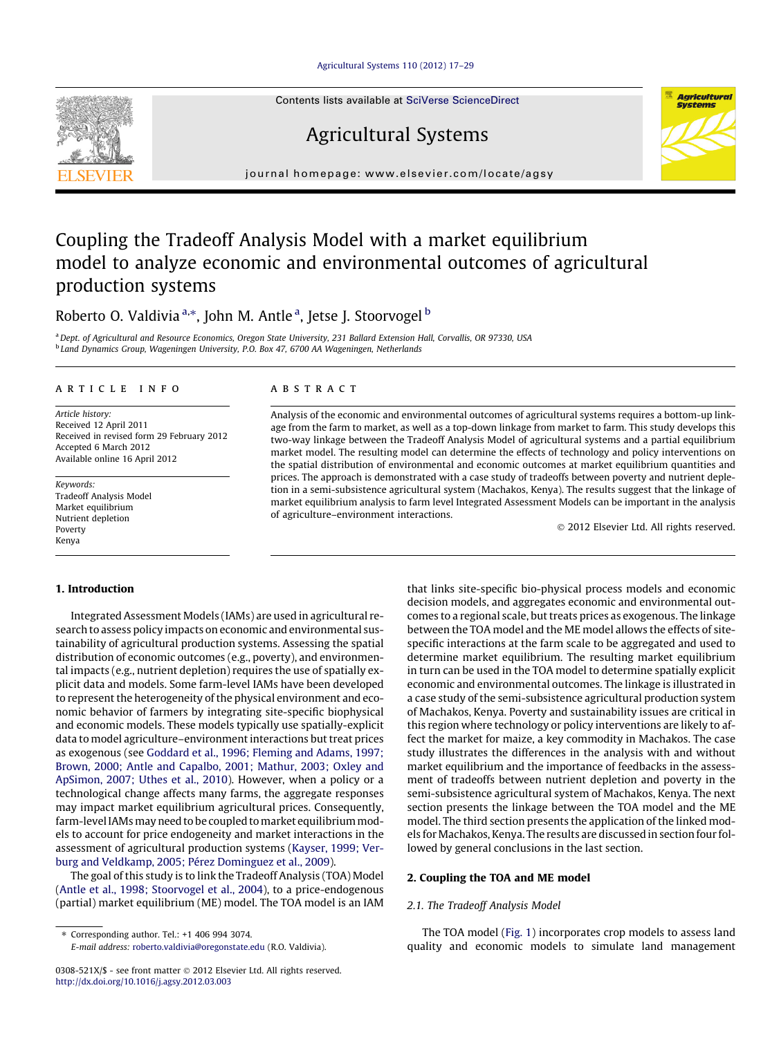[Agricultural Systems 110 \(2012\) 17–29](http://dx.doi.org/10.1016/j.agsy.2012.03.003)

Contents lists available at [SciVerse ScienceDirect](http://www.sciencedirect.com/science/journal/0308521X)

# Agricultural Systems

journal homepage: [www.elsevier.com/locate/agsy](http://www.elsevier.com/locate/agsy)

## Coupling the Tradeoff Analysis Model with a market equilibrium model to analyze economic and environmental outcomes of agricultural production systems

### Roberto O. Valdivia <sup>a,\*</sup>, John M. Antle <sup>a</sup>, Jetse J. Stoorvogel <sup>b</sup>

a Dept. of Agricultural and Resource Economics, Oregon State University, 231 Ballard Extension Hall, Corvallis, OR 97330, USA <sup>b</sup> Land Dynamics Group, Wageningen University, P.O. Box 47, 6700 AA Wageningen, Netherlands

#### article info

Article history: Received 12 April 2011 Received in revised form 29 February 2012 Accepted 6 March 2012 Available online 16 April 2012

Keywords: Tradeoff Analysis Model Market equilibrium Nutrient depletion Poverty Kenya

#### 1. Introduction

Integrated Assessment Models (IAMs) are used in agricultural research to assess policy impacts on economic and environmental sustainability of agricultural production systems. Assessing the spatial distribution of economic outcomes (e.g., poverty), and environmental impacts (e.g., nutrient depletion) requires the use of spatially explicit data and models. Some farm-level IAMs have been developed to represent the heterogeneity of the physical environment and economic behavior of farmers by integrating site-specific biophysical and economic models. These models typically use spatially-explicit data to model agriculture–environment interactions but treat prices as exogenous (see [Goddard et al., 1996; Fleming and Adams, 1997;](#page--1-0) [Brown, 2000; Antle and Capalbo, 2001; Mathur, 2003; Oxley and](#page--1-0) [ApSimon, 2007; Uthes et al., 2010](#page--1-0)). However, when a policy or a technological change affects many farms, the aggregate responses may impact market equilibrium agricultural prices. Consequently, farm-level IAMs may need to be coupled to market equilibrium models to account for price endogeneity and market interactions in the assessment of agricultural production systems [\(Kayser, 1999; Ver](#page--1-0)[burg and Veldkamp, 2005; Pérez Dominguez et al., 2009](#page--1-0)).

The goal of this study is to link the Tradeoff Analysis (TOA) Model ([Antle et al., 1998; Stoorvogel et al., 2004](#page--1-0)), to a price-endogenous (partial) market equilibrium (ME) model. The TOA model is an IAM

⇑ Corresponding author. Tel.: +1 406 994 3074.

E-mail address: [roberto.valdivia@oregonstate.edu](mailto:roberto.valdivia@oregonstate.edu) (R.O. Valdivia).

#### **ABSTRACT**

Analysis of the economic and environmental outcomes of agricultural systems requires a bottom-up linkage from the farm to market, as well as a top-down linkage from market to farm. This study develops this two-way linkage between the Tradeoff Analysis Model of agricultural systems and a partial equilibrium market model. The resulting model can determine the effects of technology and policy interventions on the spatial distribution of environmental and economic outcomes at market equilibrium quantities and prices. The approach is demonstrated with a case study of tradeoffs between poverty and nutrient depletion in a semi-subsistence agricultural system (Machakos, Kenya). The results suggest that the linkage of market equilibrium analysis to farm level Integrated Assessment Models can be important in the analysis of agriculture–environment interactions.

- 2012 Elsevier Ltd. All rights reserved.

that links site-specific bio-physical process models and economic decision models, and aggregates economic and environmental outcomes to a regional scale, but treats prices as exogenous. The linkage between the TOA model and the ME model allows the effects of sitespecific interactions at the farm scale to be aggregated and used to determine market equilibrium. The resulting market equilibrium in turn can be used in the TOA model to determine spatially explicit economic and environmental outcomes. The linkage is illustrated in a case study of the semi-subsistence agricultural production system of Machakos, Kenya. Poverty and sustainability issues are critical in this region where technology or policy interventions are likely to affect the market for maize, a key commodity in Machakos. The case study illustrates the differences in the analysis with and without market equilibrium and the importance of feedbacks in the assessment of tradeoffs between nutrient depletion and poverty in the semi-subsistence agricultural system of Machakos, Kenya. The next section presents the linkage between the TOA model and the ME model. The third section presents the application of the linked models for Machakos, Kenya. The results are discussed in section four followed by general conclusions in the last section.

#### 2. Coupling the TOA and ME model

#### 2.1. The Tradeoff Analysis Model

The TOA model ([Fig. 1\)](#page-1-0) incorporates crop models to assess land quality and economic models to simulate land management





<sup>0308-521</sup>X/\$ - see front matter © 2012 Elsevier Ltd. All rights reserved. <http://dx.doi.org/10.1016/j.agsy.2012.03.003>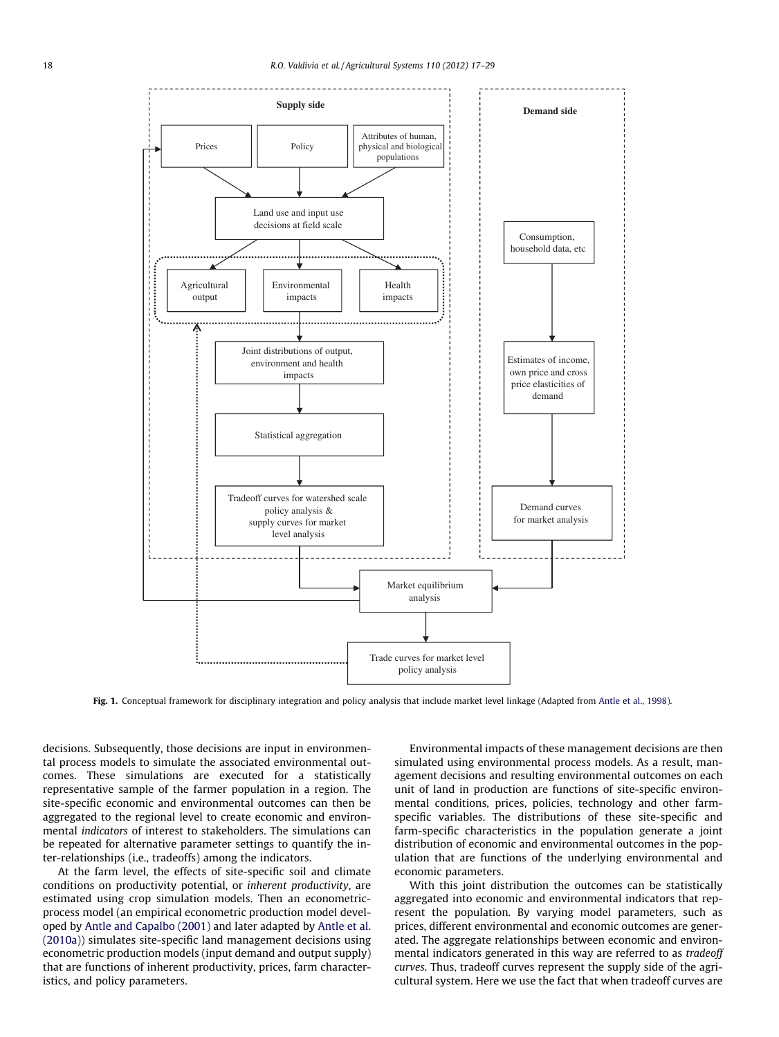<span id="page-1-0"></span>

Fig. 1. Conceptual framework for disciplinary integration and policy analysis that include market level linkage (Adapted from [Antle et al., 1998](#page--1-0)).

decisions. Subsequently, those decisions are input in environmental process models to simulate the associated environmental outcomes. These simulations are executed for a statistically representative sample of the farmer population in a region. The site-specific economic and environmental outcomes can then be aggregated to the regional level to create economic and environmental indicators of interest to stakeholders. The simulations can be repeated for alternative parameter settings to quantify the inter-relationships (i.e., tradeoffs) among the indicators.

At the farm level, the effects of site-specific soil and climate conditions on productivity potential, or inherent productivity, are estimated using crop simulation models. Then an econometricprocess model (an empirical econometric production model developed by [Antle and Capalbo \(2001\)](#page--1-0) and later adapted by [Antle et al.](#page--1-0) [\(2010a\)\)](#page--1-0) simulates site-specific land management decisions using econometric production models (input demand and output supply) that are functions of inherent productivity, prices, farm characteristics, and policy parameters.

Environmental impacts of these management decisions are then simulated using environmental process models. As a result, management decisions and resulting environmental outcomes on each unit of land in production are functions of site-specific environmental conditions, prices, policies, technology and other farmspecific variables. The distributions of these site-specific and farm-specific characteristics in the population generate a joint distribution of economic and environmental outcomes in the population that are functions of the underlying environmental and economic parameters.

With this joint distribution the outcomes can be statistically aggregated into economic and environmental indicators that represent the population. By varying model parameters, such as prices, different environmental and economic outcomes are generated. The aggregate relationships between economic and environmental indicators generated in this way are referred to as tradeoff curves. Thus, tradeoff curves represent the supply side of the agricultural system. Here we use the fact that when tradeoff curves are